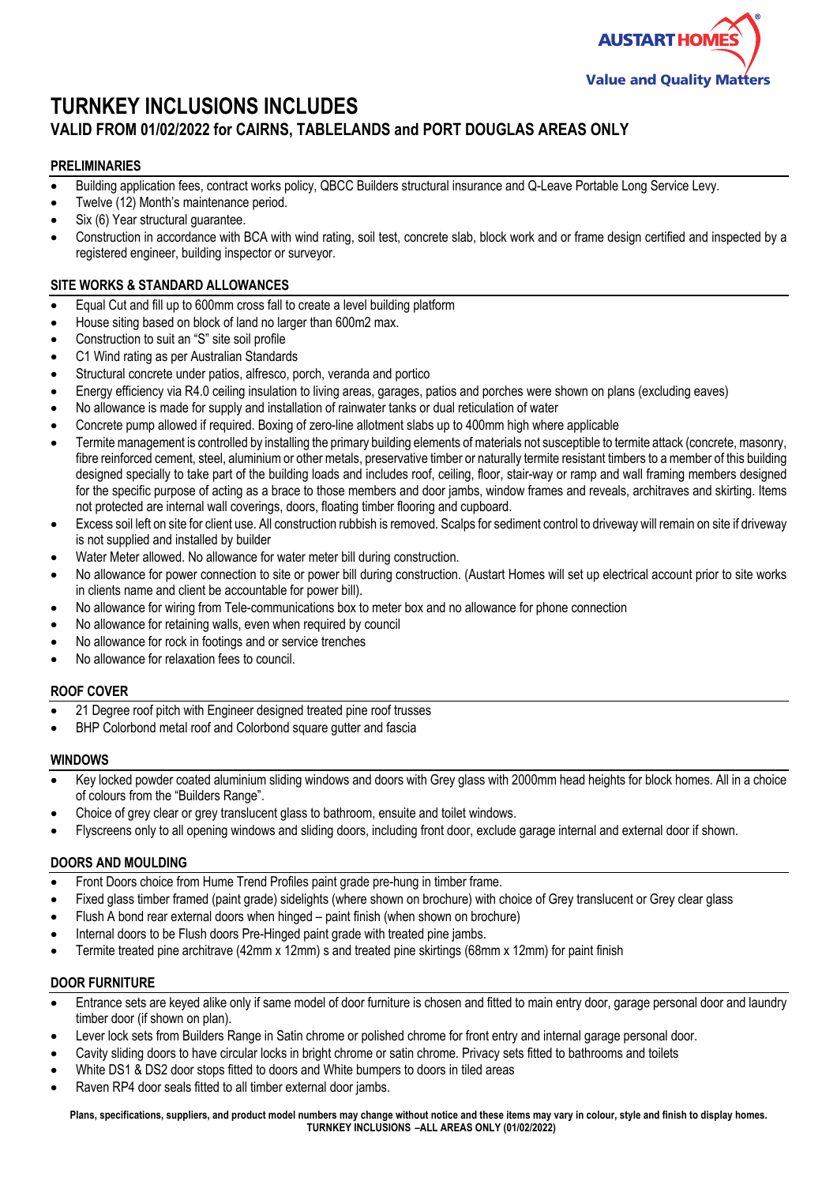

# **TURNKEY INCLUSIONS INCLUDES**

## **VALID FROM 01/02/2022 for CAIRNS, TABLELANDS and PORT DOUGLAS AREAS ONLY**

## **PRELIMINARIES**

- Building application fees, contract works policy, QBCC Builders structural insurance and Q-Leave Portable Long Service Levy.
- Twelve (12) Month's maintenance period.
- Six (6) Year structural quarantee.
- Construction in accordance with BCA with wind rating, soil test, concrete slab, block work and or frame design certified and inspected by a registered engineer, building inspector or surveyor.

## **SITE WORKS & STANDARD ALLOWANCES**

- Equal Cut and fill up to 600mm cross fall to create a level building platform
- House siting based on block of land no larger than 600m2 max.
- Construction to suit an "S" site soil profile
- C1 Wind rating as per Australian Standards
- Structural concrete under patios, alfresco, porch, veranda and portico
- Energy efficiency via R4.0 ceiling insulation to living areas, garages, patios and porches were shown on plans (excluding eaves)
- No allowance is made for supply and installation of rainwater tanks or dual reticulation of water
- Concrete pump allowed if required. Boxing of zero-line allotment slabs up to 400mm high where applicable
- Termite management is controlled by installing the primary building elements of materials not susceptible to termite attack (concrete, masonry, fibre reinforced cement, steel, aluminium or other metals, preservative timber or naturally termite resistant timbers to a member of this building designed specially to take part of the building loads and includes roof, ceiling, floor, stair-way or ramp and wall framing members designed for the specific purpose of acting as a brace to those members and door jambs, window frames and reveals, architraves and skirting. Items not protected are internal wall coverings, doors, floating timber flooring and cupboard.
- Excess soil left on site for client use. All construction rubbish is removed. Scalps for sediment control to driveway will remain on site if driveway is not supplied and installed by builder
- Water Meter allowed. No allowance for water meter bill during construction.
- No allowance for power connection to site or power bill during construction. (Austart Homes will set up electrical account prior to site works in clients name and client be accountable for power bill).
- No allowance for wiring from Tele-communications box to meter box and no allowance for phone connection
- No allowance for retaining walls, even when required by council
- No allowance for rock in footings and or service trenches
- No allowance for relaxation fees to council.

## **ROOF COVER**

- 21 Degree roof pitch with Engineer designed treated pine roof trusses
- BHP Colorbond metal roof and Colorbond square gutter and fascia

#### **WINDOWS**

- Key locked powder coated aluminium sliding windows and doors with Grey glass with 2000mm head heights for block homes. All in a choice of colours from the "Builders Range".
- Choice of grey clear or grey translucent glass to bathroom, ensuite and toilet windows.
- Flyscreens only to all opening windows and sliding doors, including front door, exclude garage internal and external door if shown.

## **DOORS AND MOULDING**

- Front Doors choice from Hume Trend Profiles paint grade pre-hung in timber frame.
- Fixed glass timber framed (paint grade) sidelights (where shown on brochure) with choice of Grey translucent or Grey clear glass
- Flush A bond rear external doors when hinged paint finish (when shown on brochure)
- Internal doors to be Flush doors Pre-Hinged paint grade with treated pine jambs.
- Termite treated pine architrave (42mm x 12mm) s and treated pine skirtings (68mm x 12mm) for paint finish

## **DOOR FURNITURE**

- Entrance sets are keyed alike only if same model of door furniture is chosen and fitted to main entry door, garage personal door and laundry timber door (if shown on plan).
- Lever lock sets from Builders Range in Satin chrome or polished chrome for front entry and internal garage personal door.
- Cavity sliding doors to have circular locks in bright chrome or satin chrome. Privacy sets fitted to bathrooms and toilets
- White DS1 & DS2 door stops fitted to doors and White bumpers to doors in tiled areas
- Raven RP4 door seals fitted to all timber external door jambs.

**Plans, specifications, suppliers, and product model numbers may change without notice and these items may vary in colour, style and finish to display homes. TURNKEY INCLUSIONS –ALL AREAS ONLY (01/02/2022)**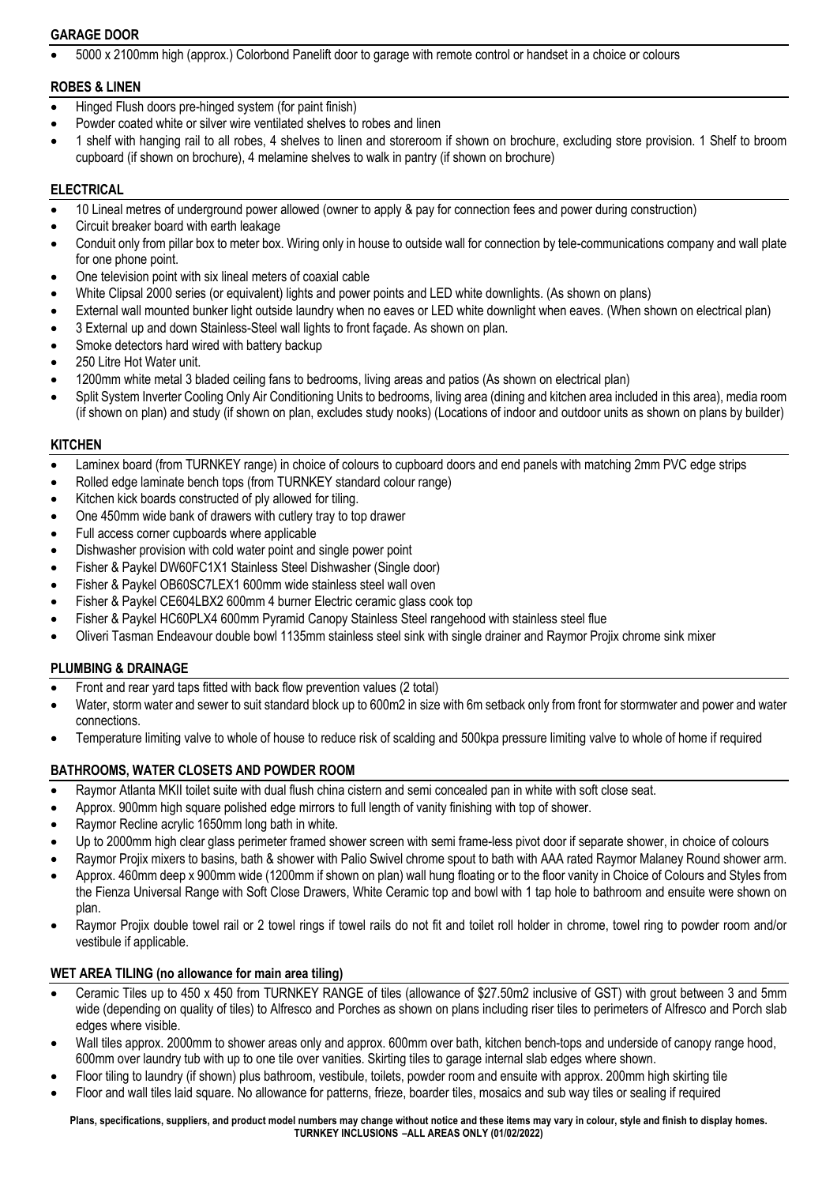## **GARAGE DOOR**

• 5000 x 2100mm high (approx.) Colorbond Panelift door to garage with remote control or handset in a choice or colours

## **ROBES & LINEN**

- Hinged Flush doors pre-hinged system (for paint finish)
- Powder coated white or silver wire ventilated shelves to robes and linen
- 1 shelf with hanging rail to all robes, 4 shelves to linen and storeroom if shown on brochure, excluding store provision. 1 Shelf to broom cupboard (if shown on brochure), 4 melamine shelves to walk in pantry (if shown on brochure)

## **ELECTRICAL**

- 10 Lineal metres of underground power allowed (owner to apply & pay for connection fees and power during construction)
- Circuit breaker board with earth leakage
- Conduit only from pillar box to meter box. Wiring only in house to outside wall for connection by tele-communications company and wall plate for one phone point.
- One television point with six lineal meters of coaxial cable
- White Clipsal 2000 series (or equivalent) lights and power points and LED white downlights. (As shown on plans)
- External wall mounted bunker light outside laundry when no eaves or LED white downlight when eaves. (When shown on electrical plan)
- 3 External up and down Stainless-Steel wall lights to front façade. As shown on plan.
- Smoke detectors hard wired with battery backup
- 250 Litre Hot Water unit.
- 1200mm white metal 3 bladed ceiling fans to bedrooms, living areas and patios (As shown on electrical plan)
- Split System Inverter Cooling Only Air Conditioning Units to bedrooms, living area (dining and kitchen area included in this area), media room (if shown on plan) and study (if shown on plan, excludes study nooks) (Locations of indoor and outdoor units as shown on plans by builder)

#### **KITCHEN**

- Laminex board (from TURNKEY range) in choice of colours to cupboard doors and end panels with matching 2mm PVC edge strips
- Rolled edge laminate bench tops (from TURNKEY standard colour range)
- Kitchen kick boards constructed of ply allowed for tiling.
- One 450mm wide bank of drawers with cutlery tray to top drawer
- Full access corner cupboards where applicable
- Dishwasher provision with cold water point and single power point
- Fisher & Paykel DW60FC1X1 Stainless Steel Dishwasher (Single door)
- Fisher & Paykel OB60SC7LEX1 600mm wide stainless steel wall oven
- Fisher & Paykel CE604LBX2 600mm 4 burner Electric ceramic glass cook top
- Fisher & Paykel HC60PLX4 600mm Pyramid Canopy Stainless Steel rangehood with stainless steel flue
- Oliveri Tasman Endeavour double bowl 1135mm stainless steel sink with single drainer and Raymor Projix chrome sink mixer

## **PLUMBING & DRAINAGE**

- Front and rear yard taps fitted with back flow prevention values (2 total)
- Water, storm water and sewer to suit standard block up to 600m2 in size with 6m setback only from front for stormwater and power and water connections.
- Temperature limiting valve to whole of house to reduce risk of scalding and 500kpa pressure limiting valve to whole of home if required

## **BATHROOMS, WATER CLOSETS AND POWDER ROOM**

- Raymor Atlanta MKII toilet suite with dual flush china cistern and semi concealed pan in white with soft close seat.
- Approx. 900mm high square polished edge mirrors to full length of vanity finishing with top of shower.
- Raymor Recline acrylic 1650mm long bath in white.
- Up to 2000mm high clear glass perimeter framed shower screen with semi frame-less pivot door if separate shower, in choice of colours
- Raymor Projix mixers to basins, bath & shower with Palio Swivel chrome spout to bath with AAA rated Raymor Malaney Round shower arm.
- Approx. 460mm deep x 900mm wide (1200mm if shown on plan) wall hung floating or to the floor vanity in Choice of Colours and Styles from the Fienza Universal Range with Soft Close Drawers, White Ceramic top and bowl with 1 tap hole to bathroom and ensuite were shown on plan.
- Raymor Projix double towel rail or 2 towel rings if towel rails do not fit and toilet roll holder in chrome, towel ring to powder room and/or vestibule if applicable.

## **WET AREA TILING (no allowance for main area tiling)**

- Ceramic Tiles up to 450 x 450 from TURNKEY RANGE of tiles (allowance of \$27.50m2 inclusive of GST) with grout between 3 and 5mm wide (depending on quality of tiles) to Alfresco and Porches as shown on plans including riser tiles to perimeters of Alfresco and Porch slab edges where visible.
- Wall tiles approx. 2000mm to shower areas only and approx. 600mm over bath, kitchen bench-tops and underside of canopy range hood, 600mm over laundry tub with up to one tile over vanities. Skirting tiles to garage internal slab edges where shown.
- Floor tiling to laundry (if shown) plus bathroom, vestibule, toilets, powder room and ensuite with approx. 200mm high skirting tile
- Floor and wall tiles laid square. No allowance for patterns, frieze, boarder tiles, mosaics and sub way tiles or sealing if required

**Plans, specifications, suppliers, and product model numbers may change without notice and these items may vary in colour, style and finish to display homes. TURNKEY INCLUSIONS –ALL AREAS ONLY (01/02/2022)**